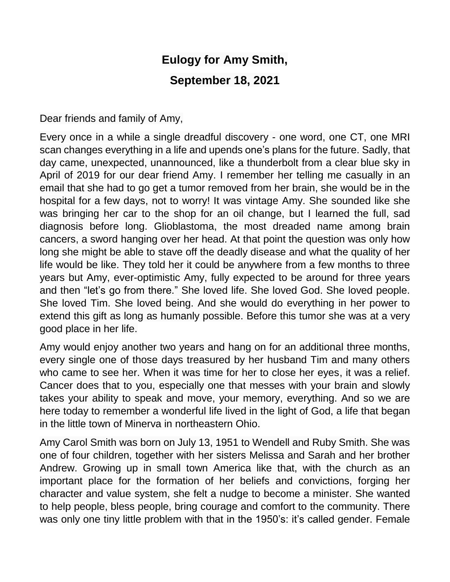## **Eulogy for Amy Smith, September 18, 2021**

Dear friends and family of Amy,

Every once in a while a single dreadful discovery - one word, one CT, one MRI scan changes everything in a life and upends one's plans for the future. Sadly, that day came, unexpected, unannounced, like a thunderbolt from a clear blue sky in April of 2019 for our dear friend Amy. I remember her telling me casually in an email that she had to go get a tumor removed from her brain, she would be in the hospital for a few days, not to worry! It was vintage Amy. She sounded like she was bringing her car to the shop for an oil change, but I learned the full, sad diagnosis before long. Glioblastoma, the most dreaded name among brain cancers, a sword hanging over her head. At that point the question was only how long she might be able to stave off the deadly disease and what the quality of her life would be like. They told her it could be anywhere from a few months to three years but Amy, ever-optimistic Amy, fully expected to be around for three years and then "let's go from there." She loved life. She loved God. She loved people. She loved Tim. She loved being. And she would do everything in her power to extend this gift as long as humanly possible. Before this tumor she was at a very good place in her life.

Amy would enjoy another two years and hang on for an additional three months, every single one of those days treasured by her husband Tim and many others who came to see her. When it was time for her to close her eyes, it was a relief. Cancer does that to you, especially one that messes with your brain and slowly takes your ability to speak and move, your memory, everything. And so we are here today to remember a wonderful life lived in the light of God, a life that began in the little town of Minerva in northeastern Ohio.

Amy Carol Smith was born on July 13, 1951 to Wendell and Ruby Smith. She was one of four children, together with her sisters Melissa and Sarah and her brother Andrew. Growing up in small town America like that, with the church as an important place for the formation of her beliefs and convictions, forging her character and value system, she felt a nudge to become a minister. She wanted to help people, bless people, bring courage and comfort to the community. There was only one tiny little problem with that in the 1950's: it's called gender. Female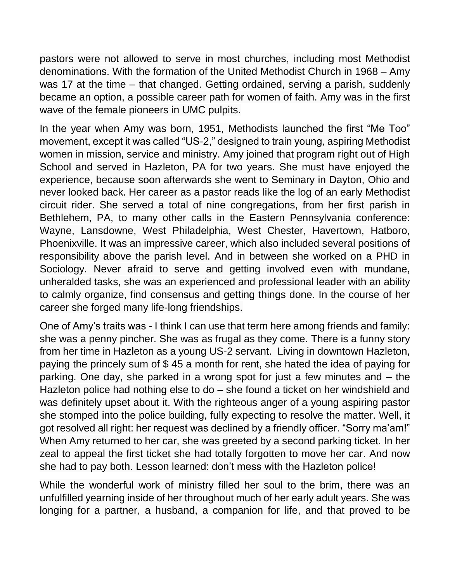pastors were not allowed to serve in most churches, including most Methodist denominations. With the formation of the United Methodist Church in 1968 – Amy was 17 at the time – that changed. Getting ordained, serving a parish, suddenly became an option, a possible career path for women of faith. Amy was in the first wave of the female pioneers in UMC pulpits.

In the year when Amy was born, 1951, Methodists launched the first "Me Too" movement, except it was called "US-2," designed to train young, aspiring Methodist women in mission, service and ministry. Amy joined that program right out of High School and served in Hazleton, PA for two years. She must have enjoyed the experience, because soon afterwards she went to Seminary in Dayton, Ohio and never looked back. Her career as a pastor reads like the log of an early Methodist circuit rider. She served a total of nine congregations, from her first parish in Bethlehem, PA, to many other calls in the Eastern Pennsylvania conference: Wayne, Lansdowne, West Philadelphia, West Chester, Havertown, Hatboro, Phoenixville. It was an impressive career, which also included several positions of responsibility above the parish level. And in between she worked on a PHD in Sociology. Never afraid to serve and getting involved even with mundane, unheralded tasks, she was an experienced and professional leader with an ability to calmly organize, find consensus and getting things done. In the course of her career she forged many life-long friendships.

One of Amy's traits was - I think I can use that term here among friends and family: she was a penny pincher. She was as frugal as they come. There is a funny story from her time in Hazleton as a young US-2 servant. Living in downtown Hazleton, paying the princely sum of \$ 45 a month for rent, she hated the idea of paying for parking. One day, she parked in a wrong spot for just a few minutes and – the Hazleton police had nothing else to do – she found a ticket on her windshield and was definitely upset about it. With the righteous anger of a young aspiring pastor she stomped into the police building, fully expecting to resolve the matter. Well, it got resolved all right: her request was declined by a friendly officer. "Sorry ma'am!" When Amy returned to her car, she was greeted by a second parking ticket. In her zeal to appeal the first ticket she had totally forgotten to move her car. And now she had to pay both. Lesson learned: don't mess with the Hazleton police!

While the wonderful work of ministry filled her soul to the brim, there was an unfulfilled yearning inside of her throughout much of her early adult years. She was longing for a partner, a husband, a companion for life, and that proved to be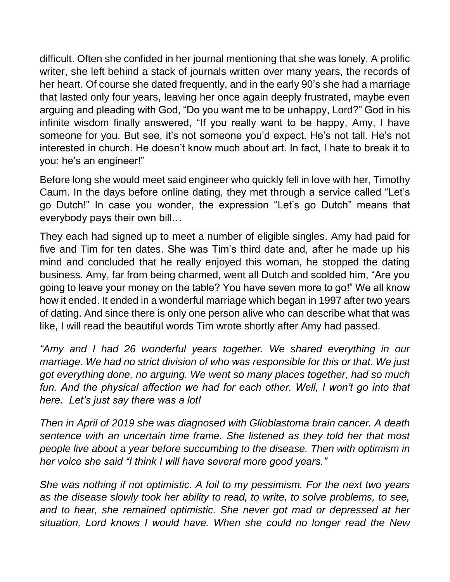difficult. Often she confided in her journal mentioning that she was lonely. A prolific writer, she left behind a stack of journals written over many years, the records of her heart. Of course she dated frequently, and in the early 90's she had a marriage that lasted only four years, leaving her once again deeply frustrated, maybe even arguing and pleading with God, "Do you want me to be unhappy, Lord?" God in his infinite wisdom finally answered, "If you really want to be happy, Amy, I have someone for you. But see, it's not someone you'd expect. He's not tall. He's not interested in church. He doesn't know much about art. In fact, I hate to break it to you: he's an engineer!"

Before long she would meet said engineer who quickly fell in love with her, Timothy Caum. In the days before online dating, they met through a service called "Let's go Dutch!" In case you wonder, the expression "Let's go Dutch" means that everybody pays their own bill…

They each had signed up to meet a number of eligible singles. Amy had paid for five and Tim for ten dates. She was Tim's third date and, after he made up his mind and concluded that he really enjoyed this woman, he stopped the dating business. Amy, far from being charmed, went all Dutch and scolded him, "Are you going to leave your money on the table? You have seven more to go!" We all know how it ended. It ended in a wonderful marriage which began in 1997 after two years of dating. And since there is only one person alive who can describe what that was like, I will read the beautiful words Tim wrote shortly after Amy had passed.

*"Amy and I had 26 wonderful years together. We shared everything in our marriage. We had no strict division of who was responsible for this or that. We just got everything done, no arguing. We went so many places together, had so much*  fun. And the physical affection we had for each other. Well, I won't go into that *here. Let's just say there was a lot!*

*Then in April of 2019 she was diagnosed with Glioblastoma brain cancer. A death sentence with an uncertain time frame. She listened as they told her that most people live about a year before succumbing to the disease. Then with optimism in her voice she said "I think I will have several more good years."*

*She was nothing if not optimistic. A foil to my pessimism. For the next two years as the disease slowly took her ability to read, to write, to solve problems, to see, and to hear, she remained optimistic. She never got mad or depressed at her situation, Lord knows I would have. When she could no longer read the New*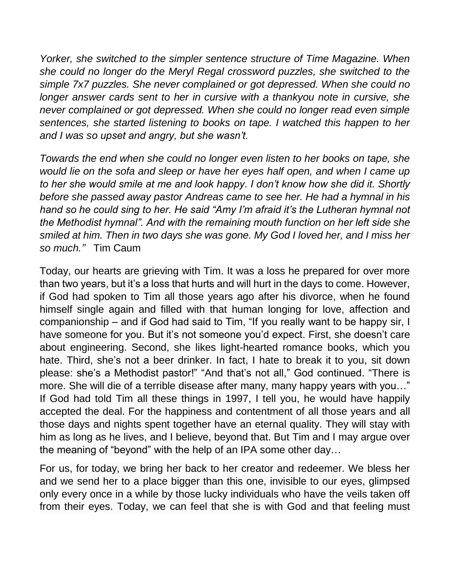*Yorker, she switched to the simpler sentence structure of Time Magazine. When she could no longer do the Meryl Regal crossword puzzles, she switched to the simple 7x7 puzzles. She never complained or got depressed. When she could no longer answer cards sent to her in cursive with a thankyou note in cursive, she never complained or got depressed. When she could no longer read even simple sentences, she started listening to books on tape. I watched this happen to her and I was so upset and angry, but she wasn't.*

*Towards the end when she could no longer even listen to her books on tape, she would lie on the sofa and sleep or have her eyes half open, and when I came up to her she would smile at me and look happy. I don't know how she did it. Shortly before she passed away pastor Andreas came to see her. He had a hymnal in his hand so he could sing to her. He said "Amy I'm afraid it's the Lutheran hymnal not the Methodist hymnal". And with the remaining mouth function on her left side she smiled at him. Then in two days she was gone. My God I loved her, and I miss her so much."* Tim Caum

Today, our hearts are grieving with Tim. It was a loss he prepared for over more than two years, but it's a loss that hurts and will hurt in the days to come. However, if God had spoken to Tim all those years ago after his divorce, when he found himself single again and filled with that human longing for love, affection and companionship – and if God had said to Tim, "If you really want to be happy sir, I have someone for you. But it's not someone you'd expect. First, she doesn't care about engineering. Second, she likes light-hearted romance books, which you hate. Third, she's not a beer drinker. In fact, I hate to break it to you, sit down please: she's a Methodist pastor!" "And that's not all," God continued. "There is more. She will die of a terrible disease after many, many happy years with you…" If God had told Tim all these things in 1997, I tell you, he would have happily accepted the deal. For the happiness and contentment of all those years and all those days and nights spent together have an eternal quality. They will stay with him as long as he lives, and I believe, beyond that. But Tim and I may argue over the meaning of "beyond" with the help of an IPA some other day…

For us, for today, we bring her back to her creator and redeemer. We bless her and we send her to a place bigger than this one, invisible to our eyes, glimpsed only every once in a while by those lucky individuals who have the veils taken off from their eyes. Today, we can feel that she is with God and that feeling must